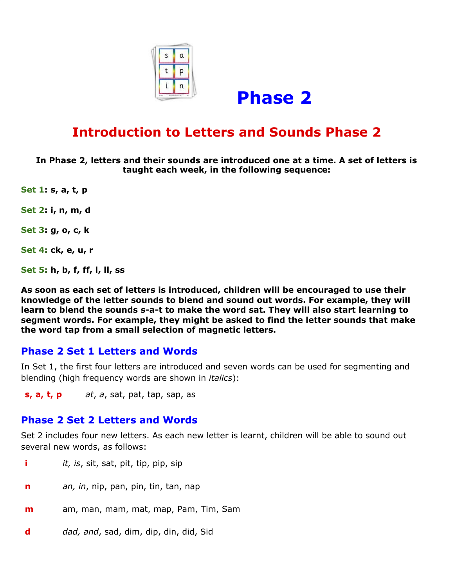



# **Introduction to Letters and Sounds Phase 2**

**In Phase 2, letters and their sounds are introduced one at a time. A set of letters is taught each week, in the following sequence:**

**Set 1: s, a, t, p**

**Set 2: i, n, m, d**

**Set 3: g, o, c, k**

**Set 4: ck, e, u, r**

**Set 5: h, b, f, ff, l, ll, ss**

**As soon as each set of letters is introduced, children will be encouraged to use their knowledge of the letter sounds to blend and sound out words. For example, they will learn to blend the sounds s-a-t to make the word sat. They will also start learning to segment words. For example, they might be asked to find the letter sounds that make the word tap from a small selection of magnetic letters.**

#### **Phase 2 Set 1 Letters and Words**

In Set 1, the first four letters are introduced and seven words can be used for segmenting and blending (high frequency words are shown in *italics*):

**s, a, t, p** *at*, *a*, sat, pat, tap, sap, as

#### **Phase 2 Set 2 Letters and Words**

Set 2 includes four new letters. As each new letter is learnt, children will be able to sound out several new words, as follows:

- **i** *it, is*, sit, sat, pit, tip, pip, sip
- **n** *an, in*, nip, pan, pin, tin, tan, nap
- **m** am, man, mam, mat, map, Pam, Tim, Sam
- **d** *dad, and*, sad, dim, dip, din, did, Sid